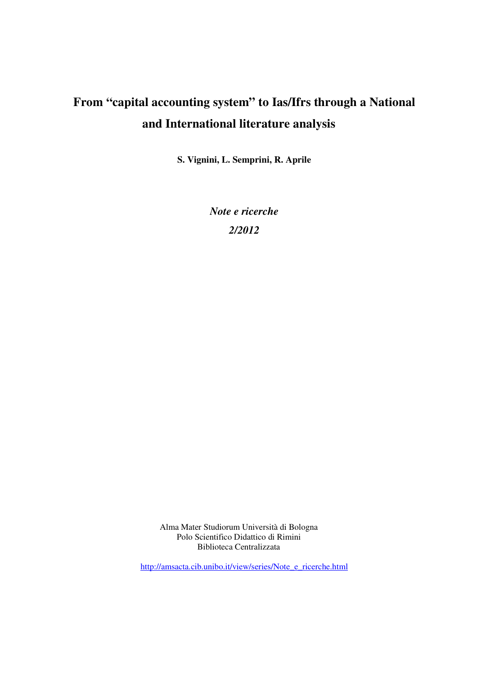# **From "capital accounting system" to Ias/Ifrs through a National and International literature analysis**

**S. Vignini, L. Semprini, R. Aprile** 

*Note e ricerche 2/2012* 

Alma Mater Studiorum Università di Bologna Polo Scientifico Didattico di Rimini Biblioteca Centralizzata

http://amsacta.cib.unibo.it/view/series/Note\_e\_ricerche.html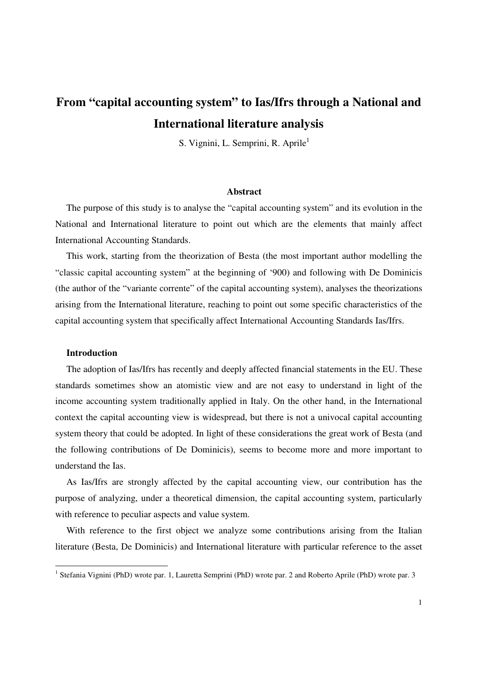# **From "capital accounting system" to Ias/Ifrs through a National and International literature analysis**

S. Vignini, L. Semprini, R. Aprile<sup>1</sup>

#### **Abstract**

The purpose of this study is to analyse the "capital accounting system" and its evolution in the National and International literature to point out which are the elements that mainly affect International Accounting Standards.

This work, starting from the theorization of Besta (the most important author modelling the "classic capital accounting system" at the beginning of '900) and following with De Dominicis (the author of the "variante corrente" of the capital accounting system), analyses the theorizations arising from the International literature, reaching to point out some specific characteristics of the capital accounting system that specifically affect International Accounting Standards Ias/Ifrs.

#### **Introduction**

The adoption of Ias/Ifrs has recently and deeply affected financial statements in the EU. These standards sometimes show an atomistic view and are not easy to understand in light of the income accounting system traditionally applied in Italy. On the other hand, in the International context the capital accounting view is widespread, but there is not a univocal capital accounting system theory that could be adopted. In light of these considerations the great work of Besta (and the following contributions of De Dominicis), seems to become more and more important to understand the Ias.

As Ias/Ifrs are strongly affected by the capital accounting view, our contribution has the purpose of analyzing, under a theoretical dimension, the capital accounting system, particularly with reference to peculiar aspects and value system.

With reference to the first object we analyze some contributions arising from the Italian literature (Besta, De Dominicis) and International literature with particular reference to the asset

<sup>&</sup>lt;sup>1</sup> Stefania Vignini (PhD) wrote par. 1, Lauretta Semprini (PhD) wrote par. 2 and Roberto Aprile (PhD) wrote par. 3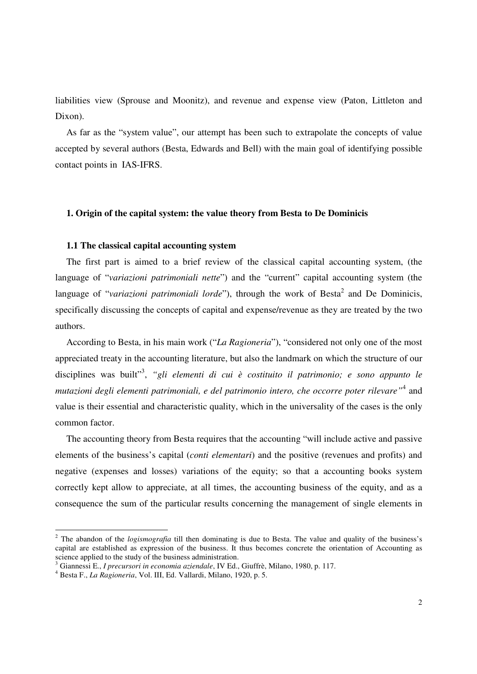liabilities view (Sprouse and Moonitz), and revenue and expense view (Paton, Littleton and Dixon).

As far as the "system value", our attempt has been such to extrapolate the concepts of value accepted by several authors (Besta, Edwards and Bell) with the main goal of identifying possible contact points in IAS-IFRS.

#### **1. Origin of the capital system: the value theory from Besta to De Dominicis**

#### **1.1 The classical capital accounting system**

The first part is aimed to a brief review of the classical capital accounting system, (the language of "*variazioni patrimoniali nette*") and the "current" capital accounting system (the language of "*variazioni patrimoniali lorde*"), through the work of Besta<sup>2</sup> and De Dominicis, specifically discussing the concepts of capital and expense/revenue as they are treated by the two authors.

According to Besta, in his main work ("*La Ragioneria*"), "considered not only one of the most appreciated treaty in the accounting literature, but also the landmark on which the structure of our disciplines was built"<sup>3</sup> , *"gli elementi di cui è costituito il patrimonio; e sono appunto le mutazioni degli elementi patrimoniali, e del patrimonio intero, che occorre poter rilevare"*<sup>4</sup> and value is their essential and characteristic quality, which in the universality of the cases is the only common factor.

The accounting theory from Besta requires that the accounting "will include active and passive elements of the business's capital (*conti elementari*) and the positive (revenues and profits) and negative (expenses and losses) variations of the equity; so that a accounting books system correctly kept allow to appreciate, at all times, the accounting business of the equity, and as a consequence the sum of the particular results concerning the management of single elements in

<sup>&</sup>lt;sup>2</sup> The abandon of the *logismografia* till then dominating is due to Besta. The value and quality of the business's capital are established as expression of the business. It thus becomes concrete the orientation of Accounting as science applied to the study of the business administration.

<sup>3</sup> Giannessi E., *I precursori in economia aziendale*, IV Ed., Giuffrè, Milano, 1980, p. 117.

<sup>4</sup> Besta F., *La Ragioneria*, Vol. III, Ed. Vallardi, Milano, 1920, p. 5.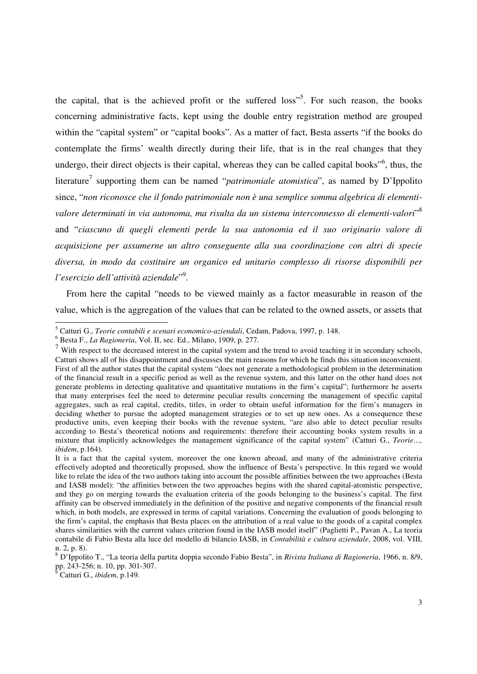the capital, that is the achieved profit or the suffered loss"<sup>5</sup>. For such reason, the books concerning administrative facts, kept using the double entry registration method are grouped within the "capital system" or "capital books". As a matter of fact, Besta asserts "if the books do contemplate the firms' wealth directly during their life, that is in the real changes that they undergo, their direct objects is their capital, whereas they can be called capital books"<sup>6</sup>, thus, the literature<sup>7</sup> supporting them can be named "*patrimoniale atomistica*", as named by D'Ippolito since, "*non riconosce che il fondo patrimoniale non è una semplice somma algebrica di elementivalore determinati in via autonoma, ma risulta da un sistema interconnesso di elementi-valori*" 8 and "*ciascuno di quegli elementi perde la sua autonomia ed il suo originario valore di acquisizione per assumerne un altro conseguente alla sua coordinazione con altri di specie diversa, in modo da costituire un organico ed unitario complesso di risorse disponibili per l'esercizio dell'attività aziendale*" 9 .

From here the capital "needs to be viewed mainly as a factor measurable in reason of the value, which is the aggregation of the values that can be related to the owned assets, or assets that

 5 Catturi G., *Teorie contabili e scenari economico-aziendali*, Cedam, Padova, 1997, p. 148.

<sup>6</sup> Besta F., *La Ragioneria*, Vol. II, sec. Ed., Milano, 1909, p. 277.

 $7$  With respect to the decreased interest in the capital system and the trend to avoid teaching it in secondary schools, Catturi shows all of his disappointment and discusses the main reasons for which he finds this situation inconvenient. First of all the author states that the capital system "does not generate a methodological problem in the determination of the financial result in a specific period as well as the revenue system, and this latter on the other hand does not generate problems in detecting qualitative and quantitative mutations in the firm's capital"; furthermore he asserts that many enterprises feel the need to determine peculiar results concerning the management of specific capital aggregates, such as real capital, credits, titles, in order to obtain useful information for the firm's managers in deciding whether to pursue the adopted management strategies or to set up new ones. As a consequence these productive units, even keeping their books with the revenue system, "are also able to detect peculiar results according to Besta's theoretical notions and requirements: therefore their accounting books system results in a mixture that implicitly acknowledges the management significance of the capital system" (Catturi G., *Teorie…, ibidem*, p.164).

It is a fact that the capital system, moreover the one known abroad, and many of the administrative criteria effectively adopted and theoretically proposed, show the influence of Besta's perspective. In this regard we would like to relate the idea of the two authors taking into account the possible affinities between the two approaches (Besta and IASB model): "the affinities between the two approaches begins with the shared capital-atomistic perspective, and they go on merging towards the evaluation criteria of the goods belonging to the business's capital. The first affinity can be observed immediately in the definition of the positive and negative components of the financial result which, in both models, are expressed in terms of capital variations. Concerning the evaluation of goods belonging to the firm's capital, the emphasis that Besta places on the attribution of a real value to the goods of a capital complex shares similarities with the current values criterion found in the IASB model itself" (Paglietti P., Pavan A., La teoria contabile di Fabio Besta alla luce del modello di bilancio IASB, in *Contabilità e cultura aziendale*, 2008, vol. VIII, n. 2, p. 8).

<sup>8</sup> D'Ippolito T., "La teoria della partita doppia secondo Fabio Besta", in *Rivista Italiana di Ragioneria*, 1966, n. 8/9, pp. 243-256; n. 10, pp. 301-307.<br><sup>9</sup> Cetturi G. *ibidam*, p.140.

Catturi G., *ibidem*, p.149.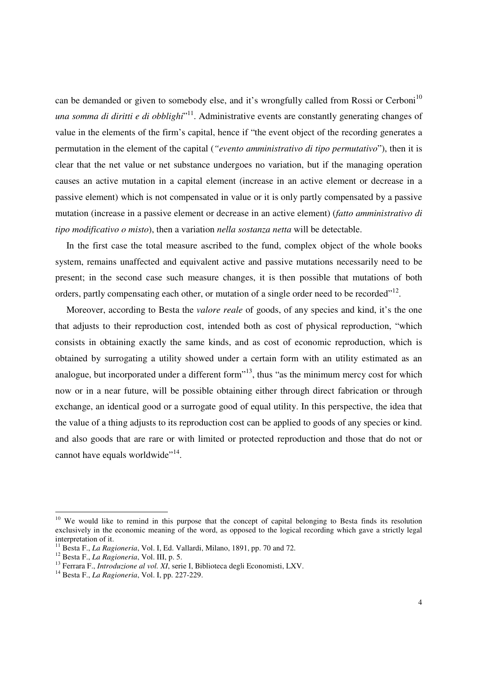can be demanded or given to somebody else, and it's wrongfully called from Rossi or Cerboni<sup>10</sup> *una somma di diritti e di obblighi*" <sup>11</sup>. Administrative events are constantly generating changes of value in the elements of the firm's capital, hence if "the event object of the recording generates a permutation in the element of the capital (*"evento amministrativo di tipo permutativo*"), then it is clear that the net value or net substance undergoes no variation, but if the managing operation causes an active mutation in a capital element (increase in an active element or decrease in a passive element) which is not compensated in value or it is only partly compensated by a passive mutation (increase in a passive element or decrease in an active element) (*fatto amministrativo di tipo modificativo o misto*), then a variation *nella sostanza netta* will be detectable.

In the first case the total measure ascribed to the fund, complex object of the whole books system, remains unaffected and equivalent active and passive mutations necessarily need to be present; in the second case such measure changes, it is then possible that mutations of both orders, partly compensating each other, or mutation of a single order need to be recorded"<sup>12</sup>.

Moreover, according to Besta the *valore reale* of goods, of any species and kind, it's the one that adjusts to their reproduction cost, intended both as cost of physical reproduction, "which consists in obtaining exactly the same kinds, and as cost of economic reproduction, which is obtained by surrogating a utility showed under a certain form with an utility estimated as an analogue, but incorporated under a different form<sup> $13$ </sup>, thus "as the minimum mercy cost for which now or in a near future, will be possible obtaining either through direct fabrication or through exchange, an identical good or a surrogate good of equal utility. In this perspective, the idea that the value of a thing adjusts to its reproduction cost can be applied to goods of any species or kind. and also goods that are rare or with limited or protected reproduction and those that do not or cannot have equals worldwide"<sup>14</sup>.

<sup>&</sup>lt;sup>10</sup> We would like to remind in this purpose that the concept of capital belonging to Besta finds its resolution exclusively in the economic meaning of the word, as opposed to the logical recording which gave a strictly legal interpretation of it.

<sup>11</sup> Besta F., *La Ragioneria*, Vol. I, Ed. Vallardi, Milano, 1891, pp. 70 and 72.

<sup>12</sup> Besta F., *La Ragioneria*, Vol. III, p. 5.

<sup>13</sup> Ferrara F., *Introduzione al vol. XI*, serie I, Biblioteca degli Economisti, LXV.

<sup>14</sup> Besta F., *La Ragioneria*, Vol. I, pp. 227-229.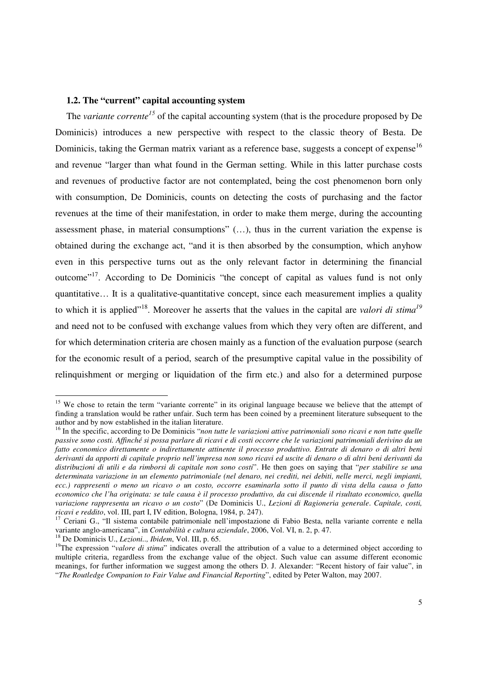### **1.2. The "current" capital accounting system**

The *variante corrente<sup>15</sup>* of the capital accounting system (that is the procedure proposed by De Dominicis) introduces a new perspective with respect to the classic theory of Besta. De Dominicis, taking the German matrix variant as a reference base, suggests a concept of expense<sup>16</sup> and revenue "larger than what found in the German setting. While in this latter purchase costs and revenues of productive factor are not contemplated, being the cost phenomenon born only with consumption, De Dominicis, counts on detecting the costs of purchasing and the factor revenues at the time of their manifestation, in order to make them merge, during the accounting assessment phase, in material consumptions" (…), thus in the current variation the expense is obtained during the exchange act, "and it is then absorbed by the consumption, which anyhow even in this perspective turns out as the only relevant factor in determining the financial outcome<sup>"17</sup>. According to De Dominicis "the concept of capital as values fund is not only quantitative… It is a qualitative-quantitative concept, since each measurement implies a quality to which it is applied"<sup>18</sup>. Moreover he asserts that the values in the capital are *valori di stima<sup>19</sup>* and need not to be confused with exchange values from which they very often are different, and for which determination criteria are chosen mainly as a function of the evaluation purpose (search for the economic result of a period, search of the presumptive capital value in the possibility of relinquishment or merging or liquidation of the firm etc.) and also for a determined purpose

<sup>&</sup>lt;sup>15</sup> We chose to retain the term "variante corrente" in its original language because we believe that the attempt of finding a translation would be rather unfair. Such term has been coined by a preeminent literature subsequent to the author and by now established in the italian literature.

<sup>&</sup>lt;sup>16</sup> In the specific, according to De Dominicis "*non tutte le variazioni attive patrimoniali sono ricavi e non tutte quelle passive sono costi. Affinché si possa parlare di ricavi e di costi occorre che le variazioni patrimoniali derivino da un fatto economico direttamente o indirettamente attinente il processo produttivo. Entrate di denaro o di altri beni derivanti da apporti di capitale proprio nell'impresa non sono ricavi ed uscite di denaro o di altri beni derivanti da distribuzioni di utili e da rimborsi di capitale non sono costi*". He then goes on saying that "*per stabilire se una determinata variazione in un elemento patrimoniale (nel denaro, nei crediti, nei debiti, nelle merci, negli impianti, ecc.) rappresenti o meno un ricavo o un costo, occorre esaminarla sotto il punto di vista della causa o fatto economico che l'ha originata: se tale causa è il processo produttivo, da cui discende il risultato economico, quella variazione rappresenta un ricavo o un costo*" (De Dominicis U., *Lezioni di Ragioneria generale*. *Capitale, costi, ricavi e reddito*, vol. III, part I, IV edition, Bologna, 1984, p. 247).

<sup>17</sup> Ceriani G., "Il sistema contabile patrimoniale nell'impostazione di Fabio Besta, nella variante corrente e nella variante anglo-americana", in *Contabilità e cultura aziendale*, 2006, Vol. VI, n. 2, p. 47.

<sup>18</sup> De Dominicis U., *Lezioni.., Ibidem*, Vol. III, p. 65.

<sup>&</sup>lt;sup>19</sup>The expression "*valore di stima*" indicates overall the attribution of a value to a determined object according to multiple criteria, regardless from the exchange value of the object. Such value can assume different economic meanings, for further information we suggest among the others D. J. Alexander: "Recent history of fair value", in "*The Routledge Companion to Fair Value and Financial Reporting*", edited by Peter Walton, may 2007.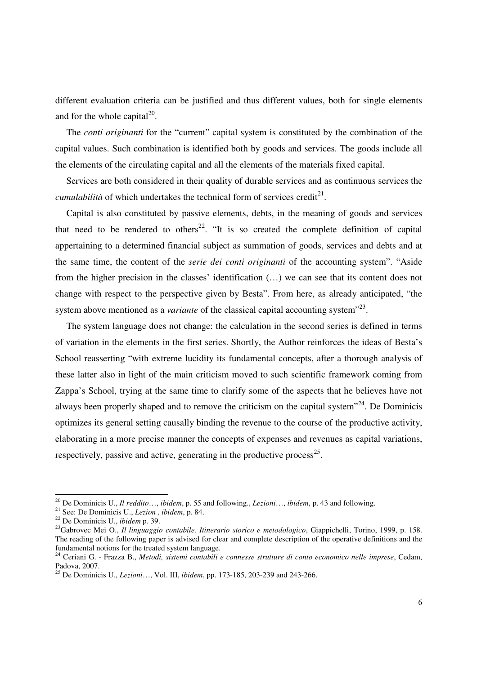different evaluation criteria can be justified and thus different values, both for single elements and for the whole capital $^{20}$ .

The *conti originanti* for the "current" capital system is constituted by the combination of the capital values. Such combination is identified both by goods and services. The goods include all the elements of the circulating capital and all the elements of the materials fixed capital.

Services are both considered in their quality of durable services and as continuous services the *cumulabilità* of which undertakes the technical form of services credit<sup>21</sup>.

Capital is also constituted by passive elements, debts, in the meaning of goods and services that need to be rendered to others<sup>22</sup>. "It is so created the complete definition of capital appertaining to a determined financial subject as summation of goods, services and debts and at the same time, the content of the *serie dei conti originanti* of the accounting system". "Aside from the higher precision in the classes' identification (…) we can see that its content does not change with respect to the perspective given by Besta". From here, as already anticipated, "the system above mentioned as a *variante* of the classical capital accounting system<sup>"23</sup>.

The system language does not change: the calculation in the second series is defined in terms of variation in the elements in the first series. Shortly, the Author reinforces the ideas of Besta's School reasserting "with extreme lucidity its fundamental concepts, after a thorough analysis of these latter also in light of the main criticism moved to such scientific framework coming from Zappa's School, trying at the same time to clarify some of the aspects that he believes have not always been properly shaped and to remove the criticism on the capital system $^{24}$ . De Dominicis optimizes its general setting causally binding the revenue to the course of the productive activity, elaborating in a more precise manner the concepts of expenses and revenues as capital variations, respectively, passive and active, generating in the productive process<sup>25</sup>.

<sup>20</sup> De Dominicis U., *Il reddito*…, *ibidem*, p. 55 and following., *Lezioni*…, *ibidem*, p. 43 and following.

<sup>21</sup> See: De Dominicis U., *Lezion* , *ibidem*, p. 84.

<sup>22</sup> De Dominicis U., *ibidem* p. 39.

<sup>&</sup>lt;sup>23</sup>Gabrovec Mei O., *Il linguaggio contabile. Itinerario storico e metodologico*, Giappichelli, Torino, 1999, p. 158. The reading of the following paper is advised for clear and complete description of the operative definitions and the fundamental notions for the treated system language.

<sup>24</sup> Ceriani G. - Frazza B., *Metodi, sistemi contabili e connesse strutture di conto economico nelle imprese*, Cedam, Padova, 2007.

<sup>25</sup> De Dominicis U., *Lezioni*…, Vol. III, *ibidem*, pp. 173-185, 203-239 and 243-266.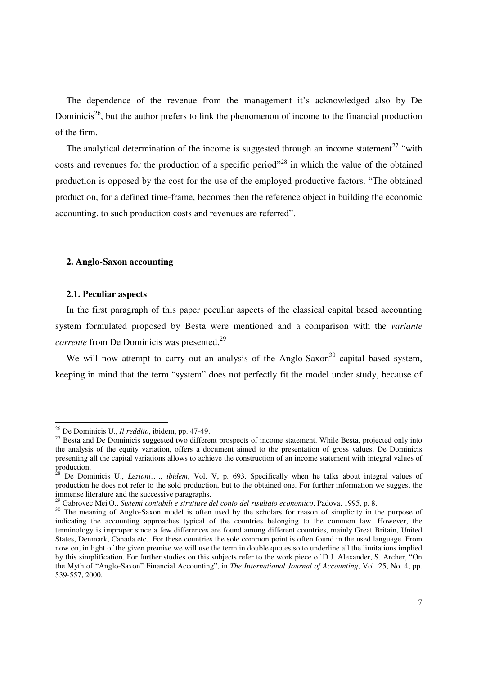The dependence of the revenue from the management it's acknowledged also by De Dominicis<sup>26</sup>, but the author prefers to link the phenomenon of income to the financial production of the firm.

The analytical determination of the income is suggested through an income statement<sup>27</sup> "with costs and revenues for the production of a specific period"<sup>28</sup> in which the value of the obtained production is opposed by the cost for the use of the employed productive factors. "The obtained production, for a defined time-frame, becomes then the reference object in building the economic accounting, to such production costs and revenues are referred".

#### **2. Anglo-Saxon accounting**

#### **2.1. Peculiar aspects**

 $\overline{a}$ 

In the first paragraph of this paper peculiar aspects of the classical capital based accounting system formulated proposed by Besta were mentioned and a comparison with the *variante corrente* from De Dominicis was presented.<sup>29</sup>

We will now attempt to carry out an analysis of the Anglo-Saxon<sup>30</sup> capital based system, keeping in mind that the term "system" does not perfectly fit the model under study, because of

<sup>26</sup> De Dominicis U., *Il reddito*, ibidem, pp. 47-49.

<sup>&</sup>lt;sup>27</sup> Besta and De Dominicis suggested two different prospects of income statement. While Besta, projected only into the analysis of the equity variation, offers a document aimed to the presentation of gross values, De Dominicis presenting all the capital variations allows to achieve the construction of an income statement with integral values of production.

<sup>28</sup> De Dominicis U., *Lezioni*…., *ibidem*, Vol. V, p. 693. Specifically when he talks about integral values of production he does not refer to the sold production, but to the obtained one. For further information we suggest the immense literature and the successive paragraphs.

<sup>29</sup> Gabrovec Mei O., *Sistemi contabili e strutture del conto del risultato economico*, Padova, 1995, p. 8.

<sup>&</sup>lt;sup>30</sup> The meaning of Anglo-Saxon model is often used by the scholars for reason of simplicity in the purpose of indicating the accounting approaches typical of the countries belonging to the common law. However, the terminology is improper since a few differences are found among different countries, mainly Great Britain, United States, Denmark, Canada etc.. For these countries the sole common point is often found in the used language. From now on, in light of the given premise we will use the term in double quotes so to underline all the limitations implied by this simplification. For further studies on this subjects refer to the work piece of D.J. Alexander, S. Archer, "On the Myth of "Anglo-Saxon" Financial Accounting", in *The International Journal of Accounting*, Vol. 25, No. 4, pp. 539-557, 2000.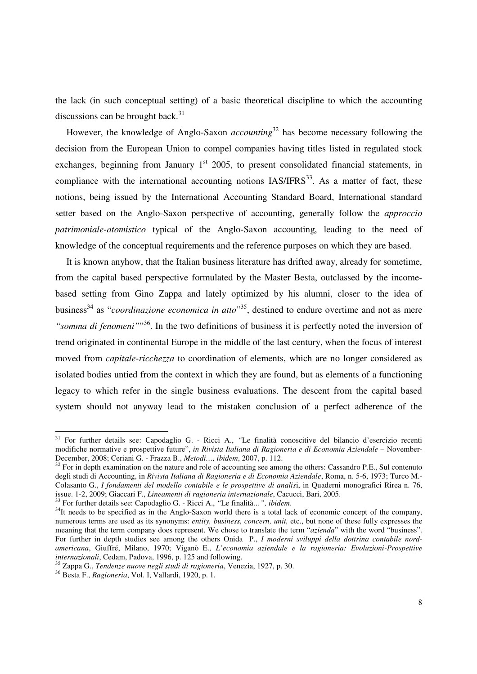the lack (in such conceptual setting) of a basic theoretical discipline to which the accounting discussions can be brought back. $31$ 

However, the knowledge of Anglo-Saxon *accounting*<sup>32</sup> has become necessary following the decision from the European Union to compel companies having titles listed in regulated stock exchanges, beginning from January  $1<sup>st</sup>$  2005, to present consolidated financial statements, in compliance with the international accounting notions  $IAS/IFRS<sup>33</sup>$ . As a matter of fact, these notions, being issued by the International Accounting Standard Board, International standard setter based on the Anglo-Saxon perspective of accounting, generally follow the *approccio patrimoniale-atomistico* typical of the Anglo-Saxon accounting, leading to the need of knowledge of the conceptual requirements and the reference purposes on which they are based.

It is known anyhow, that the Italian business literature has drifted away, already for sometime, from the capital based perspective formulated by the Master Besta, outclassed by the incomebased setting from Gino Zappa and lately optimized by his alumni, closer to the idea of business<sup>34</sup> as "*coordinazione economica in atto*"<sup>35</sup>, destined to endure overtime and not as mere "somma di fenomeni"<sup>36</sup>. In the two definitions of business it is perfectly noted the inversion of trend originated in continental Europe in the middle of the last century, when the focus of interest moved from *capitale-ricchezza* to coordination of elements, which are no longer considered as isolated bodies untied from the context in which they are found, but as elements of a functioning legacy to which refer in the single business evaluations. The descent from the capital based system should not anyway lead to the mistaken conclusion of a perfect adherence of the

<sup>31</sup> For further details see: Capodaglio G. - Ricci A., *"*Le finalità conoscitive del bilancio d'esercizio recenti modifiche normative e prospettive future", *in Rivista Italiana di Ragioneria e di Economia Aziendale* – November-December, 2008; Ceriani G. - Frazza B., *Metodi…, ibidem*, 2007, p. 112.

<sup>&</sup>lt;sup>32</sup> For in depth examination on the nature and role of accounting see among the others: Cassandro P.E., Sul contenuto degli studi di Accounting, in *Rivista Italiana di Ragioneria e di Economia Aziendale*, Roma, n. 5-6, 1973; Turco M.- Colasanto G., *I fondamenti del modello contabile e le prospettive di analis*i, in Quaderni monografici Rirea n. 76, issue. 1-2, 2009; Giaccari F., *Lineamenti di ragioneria internazionale*, Cacucci, Bari, 2005.

<sup>33</sup> For further details see: Capodaglio G. - Ricci A., *"*Le finalità*…", ibidem*.

<sup>&</sup>lt;sup>34</sup>It needs to be specified as in the Anglo-Saxon world there is a total lack of economic concept of the company, numerous terms are used as its synonyms: *entity, business, concern, unit,* etc., but none of these fully expresses the meaning that the term company does represent. We chose to translate the term "*azienda*" with the word "business". For further in depth studies see among the others Onida P., *I moderni sviluppi della dottrina contabile nordamericana*, Giuffré, Milano, 1970; Viganò E., *L'economia aziendale e la ragioneria: Evoluzioni-Prospettive internazionali*, Cedam, Padova, 1996, p. 125 and following.

<sup>35</sup> Zappa G., *Tendenze nuove negli studi di ragioneria*, Venezia, 1927, p. 30.

<sup>36</sup> Besta F., *Ragioneria*, Vol. I, Vallardi, 1920, p. 1*.*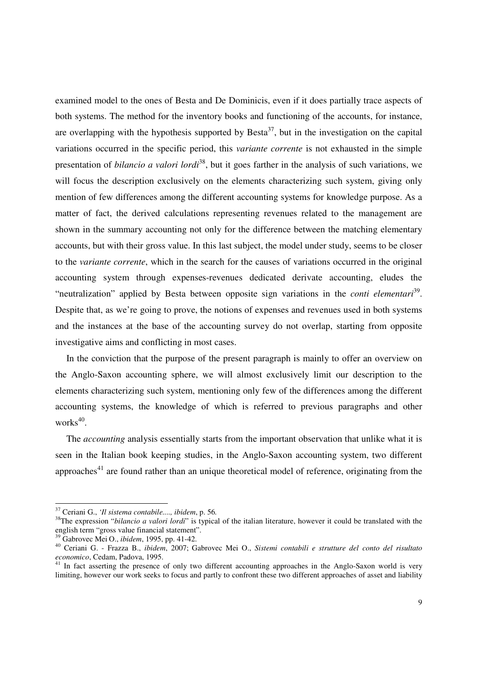examined model to the ones of Besta and De Dominicis, even if it does partially trace aspects of both systems. The method for the inventory books and functioning of the accounts, for instance, are overlapping with the hypothesis supported by  $\text{Besta}^{37}$ , but in the investigation on the capital variations occurred in the specific period, this *variante corrente* is not exhausted in the simple presentation of *bilancio a valori lordi*<sup>38</sup>, but it goes farther in the analysis of such variations, we will focus the description exclusively on the elements characterizing such system, giving only mention of few differences among the different accounting systems for knowledge purpose. As a matter of fact, the derived calculations representing revenues related to the management are shown in the summary accounting not only for the difference between the matching elementary accounts, but with their gross value. In this last subject, the model under study, seems to be closer to the *variante corrente*, which in the search for the causes of variations occurred in the original accounting system through expenses-revenues dedicated derivate accounting, eludes the "neutralization" applied by Besta between opposite sign variations in the *conti elementari*<sup>39</sup>. Despite that, as we're going to prove, the notions of expenses and revenues used in both systems and the instances at the base of the accounting survey do not overlap, starting from opposite investigative aims and conflicting in most cases.

In the conviction that the purpose of the present paragraph is mainly to offer an overview on the Anglo-Saxon accounting sphere, we will almost exclusively limit our description to the elements characterizing such system, mentioning only few of the differences among the different accounting systems, the knowledge of which is referred to previous paragraphs and other works<sup>40</sup>.

The *accounting* analysis essentially starts from the important observation that unlike what it is seen in the Italian book keeping studies, in the Anglo-Saxon accounting system, two different approaches<sup>41</sup> are found rather than an unique theoretical model of reference, originating from the

<sup>37</sup> Ceriani G., *'Il sistema contabile...., ibidem*, p. 56*.*

<sup>&</sup>lt;sup>38</sup>The expression "*bilancio a valori lordi*" is typical of the italian literature, however it could be translated with the english term "gross value financial statement".

<sup>39</sup> Gabrovec Mei O., *ibidem*, 1995, pp. 41-42.

<sup>40</sup> Ceriani G. - Frazza B., *ibidem*, 2007; Gabrovec Mei O., *Sistemi contabili e strutture del conto del risultato economico*, Cedam, Padova, 1995.

<sup>&</sup>lt;sup>41</sup> In fact asserting the presence of only two different accounting approaches in the Anglo-Saxon world is very limiting, however our work seeks to focus and partly to confront these two different approaches of asset and liability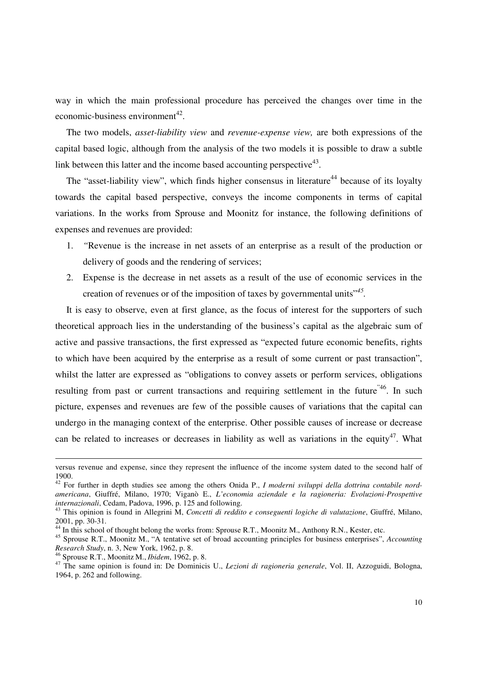way in which the main professional procedure has perceived the changes over time in the economic-business environment $^{42}$ .

The two models, *asset-liability view* and *revenue-expense view,* are both expressions of the capital based logic, although from the analysis of the two models it is possible to draw a subtle link between this latter and the income based accounting perspective<sup>43</sup>.

The "asset-liability view", which finds higher consensus in literature<sup>44</sup> because of its loyalty towards the capital based perspective, conveys the income components in terms of capital variations. In the works from Sprouse and Moonitz for instance, the following definitions of expenses and revenues are provided:

- 1. *"*Revenue is the increase in net assets of an enterprise as a result of the production or delivery of goods and the rendering of services;
- 2. Expense is the decrease in net assets as a result of the use of economic services in the creation of revenues or of the imposition of taxes by governmental units"*<sup>45</sup> .*

It is easy to observe, even at first glance, as the focus of interest for the supporters of such theoretical approach lies in the understanding of the business's capital as the algebraic sum of active and passive transactions, the first expressed as "expected future economic benefits, rights to which have been acquired by the enterprise as a result of some current or past transaction", whilst the latter are expressed as "obligations to convey assets or perform services, obligations resulting from past or current transactions and requiring settlement in the future<sup>"46</sup>. In such picture, expenses and revenues are few of the possible causes of variations that the capital can undergo in the managing context of the enterprise. Other possible causes of increase or decrease can be related to increases or decreases in liability as well as variations in the equity<sup>47</sup>. What

versus revenue and expense, since they represent the influence of the income system dated to the second half of 1900.

<sup>42</sup> For further in depth studies see among the others Onida P., *I moderni sviluppi della dottrina contabile nordamericana*, Giuffré, Milano, 1970; Viganò E., *L'economia aziendale e la ragioneria: Evoluzioni-Prospettive internazionali*, Cedam, Padova, 1996, p. 125 and following.

<sup>43</sup> This opinion is found in Allegrini M, *Concetti di reddito e conseguenti logiche di valutazione*, Giuffré, Milano, 2001, pp. 30-31*.* 

<sup>&</sup>lt;sup>44</sup> In this school of thought belong the works from: Sprouse R.T., Moonitz M., Anthony R.N., Kester, etc.

<sup>45</sup> Sprouse R.T., Moonitz M., "A tentative set of broad accounting principles for business enterprises", *Accounting Research Study*, n. 3, New York, 1962, p. 8.

<sup>46</sup> Sprouse R.T., Moonitz M., *Ibidem*, 1962, p. 8.

<sup>47</sup> The same opinion is found in: De Dominicis U., *Lezioni di ragioneria generale*, Vol. II, Azzoguidi, Bologna, 1964, p. 262 and following.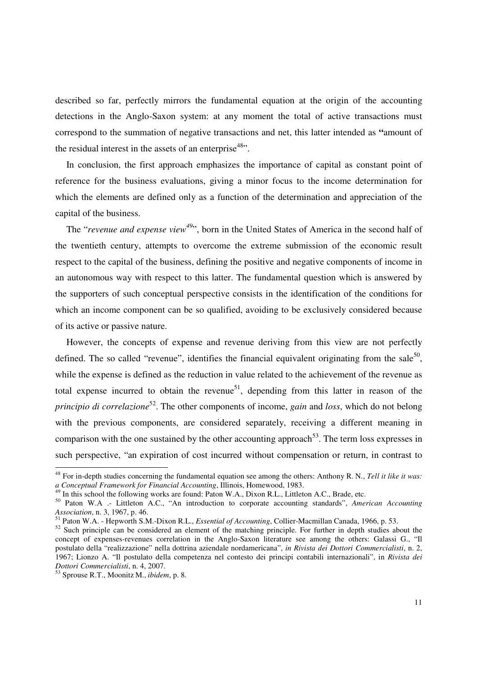described so far, perfectly mirrors the fundamental equation at the origin of the accounting detections in the Anglo-Saxon system: at any moment the total of active transactions must correspond to the summation of negative transactions and net, this latter intended as **"**amount of the residual interest in the assets of an enterprise<sup>48</sup>.

In conclusion, the first approach emphasizes the importance of capital as constant point of reference for the business evaluations, giving a minor focus to the income determination for which the elements are defined only as a function of the determination and appreciation of the capital of the business.

The "*revenue and expense view<sup>49</sup>*", born in the United States of America in the second half of the twentieth century, attempts to overcome the extreme submission of the economic result respect to the capital of the business, defining the positive and negative components of income in an autonomous way with respect to this latter. The fundamental question which is answered by the supporters of such conceptual perspective consists in the identification of the conditions for which an income component can be so qualified, avoiding to be exclusively considered because of its active or passive nature.

However, the concepts of expense and revenue deriving from this view are not perfectly defined. The so called "revenue", identifies the financial equivalent originating from the sale<sup>50</sup>, while the expense is defined as the reduction in value related to the achievement of the revenue as total expense incurred to obtain the revenue<sup>51</sup>, depending from this latter in reason of the *principio di correlazione*<sup>52</sup>. The other components of income, *gain* and *loss*, which do not belong with the previous components, are considered separately, receiving a different meaning in comparison with the one sustained by the other accounting approach<sup>53</sup>. The term loss expresses in such perspective, "an expiration of cost incurred without compensation or return, in contrast to

<sup>48</sup> For in-depth studies concerning the fundamental equation see among the others: Anthony R. N., *Tell it like it was: a Conceptual Framework for Financial Accounting*, Illinois, Homewood, 1983.

In this school the following works are found: Paton W.A., Dixon R.L., Littleton A.C., Brade, etc.

<sup>50</sup> Paton W.A .- Littleton A.C., "An introduction to corporate accounting standards", *American Accounting Association*, n. 3, 1967, p. 46.

<sup>51</sup> Paton W.A. - Hepworth S.M.-Dixon R.L., *Essential of Accounting*, Collier-Macmillan Canada, 1966, p. 53.

<sup>&</sup>lt;sup>52</sup> Such principle can be considered an element of the matching principle. For further in depth studies about the concept of expenses-revenues correlation in the Anglo-Saxon literature see among the others: Galassi G., "Il postulato della "realizzazione" nella dottrina aziendale nordamericana", *in Rivista dei Dottori Commercialisti*, n. 2, 1967; Lionzo A. "Il postulato della competenza nel contesto dei principi contabili internazionali", in *Rivista dei Dottori Commercialisti*, n. 4, 2007.

<sup>53</sup> Sprouse R.T., Moonitz M., *ibidem*, p. 8.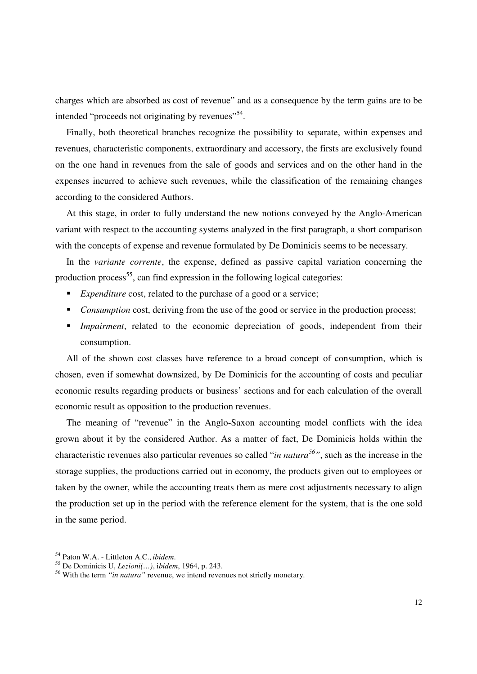charges which are absorbed as cost of revenue" and as a consequence by the term gains are to be intended "proceeds not originating by revenues"<sup>54</sup>.

Finally, both theoretical branches recognize the possibility to separate, within expenses and revenues, characteristic components, extraordinary and accessory, the firsts are exclusively found on the one hand in revenues from the sale of goods and services and on the other hand in the expenses incurred to achieve such revenues, while the classification of the remaining changes according to the considered Authors.

At this stage, in order to fully understand the new notions conveyed by the Anglo-American variant with respect to the accounting systems analyzed in the first paragraph, a short comparison with the concepts of expense and revenue formulated by De Dominicis seems to be necessary.

In the *variante corrente*, the expense, defined as passive capital variation concerning the production process<sup>55</sup>, can find expression in the following logical categories:

- *Expenditure* cost, related to the purchase of a good or a service;
- *Consumption* cost, deriving from the use of the good or service in the production process;
- *Impairment*, related to the economic depreciation of goods, independent from their consumption.

All of the shown cost classes have reference to a broad concept of consumption, which is chosen, even if somewhat downsized, by De Dominicis for the accounting of costs and peculiar economic results regarding products or business' sections and for each calculation of the overall economic result as opposition to the production revenues.

The meaning of "revenue" in the Anglo-Saxon accounting model conflicts with the idea grown about it by the considered Author. As a matter of fact, De Dominicis holds within the characteristic revenues also particular revenues so called "*in natura<sup>56</sup>"*, such as the increase in the storage supplies, the productions carried out in economy, the products given out to employees or taken by the owner, while the accounting treats them as mere cost adjustments necessary to align the production set up in the period with the reference element for the system, that is the one sold in the same period.

<sup>54</sup> Paton W.A. - Littleton A.C., *ibidem*.

<sup>55</sup> De Dominicis U, *Lezioni(…)*, i*bidem*, 1964, p. 243.

<sup>56</sup> With the term *"in natura"* revenue, we intend revenues not strictly monetary.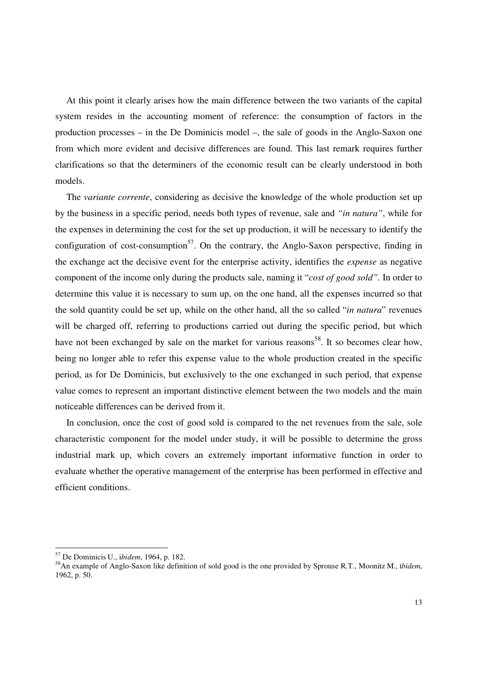At this point it clearly arises how the main difference between the two variants of the capital system resides in the accounting moment of reference: the consumption of factors in the production processes – in the De Dominicis model –, the sale of goods in the Anglo-Saxon one from which more evident and decisive differences are found. This last remark requires further clarifications so that the determiners of the economic result can be clearly understood in both models.

The *variante corrente*, considering as decisive the knowledge of the whole production set up by the business in a specific period, needs both types of revenue, sale and *"in natura"*, while for the expenses in determining the cost for the set up production, it will be necessary to identify the configuration of cost-consumption<sup>57</sup>. On the contrary, the Anglo-Saxon perspective, finding in the exchange act the decisive event for the enterprise activity, identifies the *expense* as negative component of the income only during the products sale, naming it "*cost of good sold".* In order to determine this value it is necessary to sum up, on the one hand, all the expenses incurred so that the sold quantity could be set up, while on the other hand, all the so called "*in natura*" revenues will be charged off, referring to productions carried out during the specific period, but which have not been exchanged by sale on the market for various reasons<sup>58</sup>. It so becomes clear how. being no longer able to refer this expense value to the whole production created in the specific period, as for De Dominicis, but exclusively to the one exchanged in such period, that expense value comes to represent an important distinctive element between the two models and the main noticeable differences can be derived from it.

In conclusion, once the cost of good sold is compared to the net revenues from the sale, sole characteristic component for the model under study, it will be possible to determine the gross industrial mark up, which covers an extremely important informative function in order to evaluate whether the operative management of the enterprise has been performed in effective and efficient conditions.

<sup>57</sup> De Dominicis U., i*bidem*, 1964, p. 182.

<sup>58</sup>An example of Anglo-Saxon like definition of sold good is the one provided by Sprouse R.T., Moonitz M., I*bidem*, 1962, p. 50.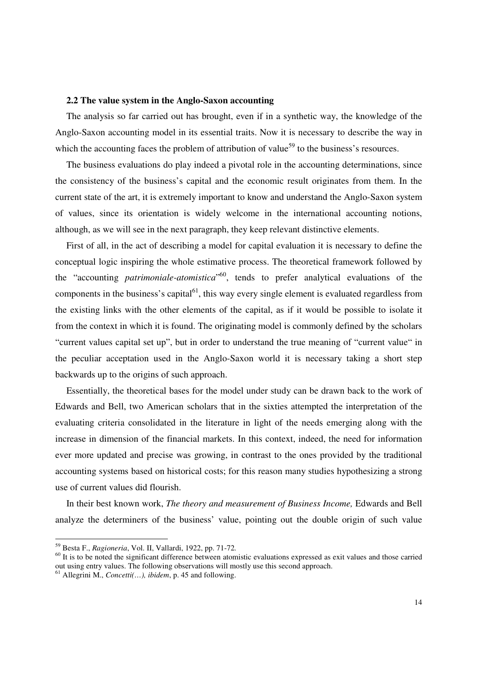#### **2.2 The value system in the Anglo-Saxon accounting**

The analysis so far carried out has brought, even if in a synthetic way, the knowledge of the Anglo-Saxon accounting model in its essential traits. Now it is necessary to describe the way in which the accounting faces the problem of attribution of value<sup>59</sup> to the business's resources.

The business evaluations do play indeed a pivotal role in the accounting determinations, since the consistency of the business's capital and the economic result originates from them. In the current state of the art, it is extremely important to know and understand the Anglo-Saxon system of values, since its orientation is widely welcome in the international accounting notions, although, as we will see in the next paragraph, they keep relevant distinctive elements.

First of all, in the act of describing a model for capital evaluation it is necessary to define the conceptual logic inspiring the whole estimative process. The theoretical framework followed by the "accounting *patrimoniale-atomistica*" <sup>60</sup>, tends to prefer analytical evaluations of the components in the business's capital $^{61}$ , this way every single element is evaluated regardless from the existing links with the other elements of the capital, as if it would be possible to isolate it from the context in which it is found. The originating model is commonly defined by the scholars "current values capital set up", but in order to understand the true meaning of "current value" in the peculiar acceptation used in the Anglo-Saxon world it is necessary taking a short step backwards up to the origins of such approach.

Essentially, the theoretical bases for the model under study can be drawn back to the work of Edwards and Bell, two American scholars that in the sixties attempted the interpretation of the evaluating criteria consolidated in the literature in light of the needs emerging along with the increase in dimension of the financial markets. In this context, indeed, the need for information ever more updated and precise was growing, in contrast to the ones provided by the traditional accounting systems based on historical costs; for this reason many studies hypothesizing a strong use of current values did flourish.

In their best known work, *The theory and measurement of Business Income,* Edwards and Bell analyze the determiners of the business' value, pointing out the double origin of such value

**-**

<sup>59</sup> Besta F., *Ragioneria*, Vol. II, Vallardi, 1922, pp. 71-72*.* 

 $\frac{60}{11}$  It is to be noted the significant difference between atomistic evaluations expressed as exit values and those carried out using entry values. The following observations will mostly use this second approach.

<sup>61</sup> Allegrini M., *Concetti(…), ibidem*, p. 45 and following.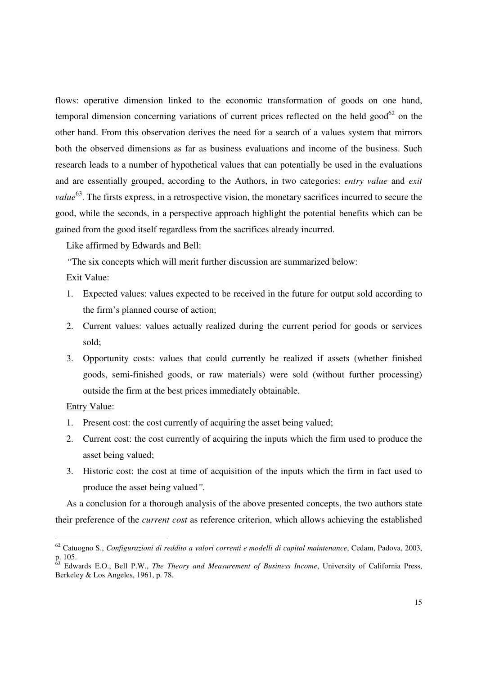flows: operative dimension linked to the economic transformation of goods on one hand, temporal dimension concerning variations of current prices reflected on the held good<sup>62</sup> on the other hand. From this observation derives the need for a search of a values system that mirrors both the observed dimensions as far as business evaluations and income of the business. Such research leads to a number of hypothetical values that can potentially be used in the evaluations and are essentially grouped, according to the Authors, in two categories: *entry value* and *exit value*<sup>63</sup>. The firsts express, in a retrospective vision, the monetary sacrifices incurred to secure the good, while the seconds, in a perspective approach highlight the potential benefits which can be gained from the good itself regardless from the sacrifices already incurred.

Like affirmed by Edwards and Bell:

*"*The six concepts which will merit further discussion are summarized below:

## Exit Value:

- 1. Expected values: values expected to be received in the future for output sold according to the firm's planned course of action;
- 2. Current values: values actually realized during the current period for goods or services sold;
- 3. Opportunity costs: values that could currently be realized if assets (whether finished goods, semi-finished goods, or raw materials) were sold (without further processing) outside the firm at the best prices immediately obtainable.

### Entry Value:

**-**

- 1. Present cost: the cost currently of acquiring the asset being valued;
- 2. Current cost: the cost currently of acquiring the inputs which the firm used to produce the asset being valued;
- 3. Historic cost: the cost at time of acquisition of the inputs which the firm in fact used to produce the asset being valued*".*

As a conclusion for a thorough analysis of the above presented concepts, the two authors state their preference of the *current cost* as reference criterion, which allows achieving the established

<sup>62</sup> Catuogno S., *Configurazioni di reddito a valori correnti e modelli di capital maintenance*, Cedam, Padova, 2003, p. 105.

<sup>63</sup> Edwards E.O., Bell P.W., *The Theory and Measurement of Business Income*, University of California Press, Berkeley & Los Angeles, 1961, p. 78.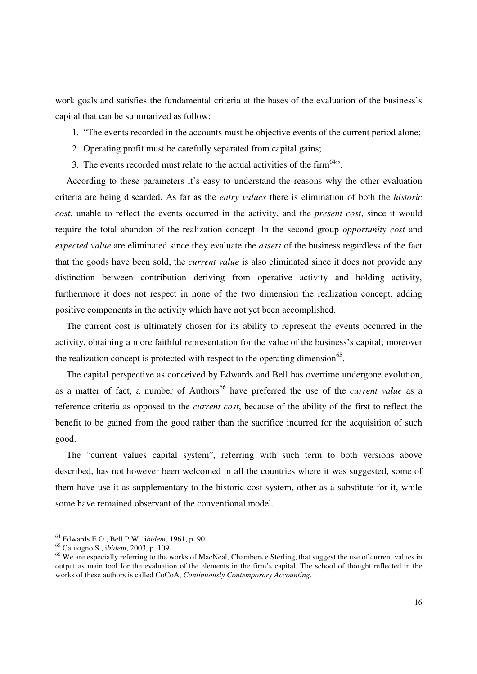work goals and satisfies the fundamental criteria at the bases of the evaluation of the business's capital that can be summarized as follow:

- 1. "The events recorded in the accounts must be objective events of the current period alone;
- 2. Operating profit must be carefully separated from capital gains;
- 3. The events recorded must relate to the actual activities of the firm  $64$ .

According to these parameters it's easy to understand the reasons why the other evaluation criteria are being discarded. As far as the *entry values* there is elimination of both the *historic cost*, unable to reflect the events occurred in the activity, and the *present cost*, since it would require the total abandon of the realization concept. In the second group *opportunity cost* and *expected value* are eliminated since they evaluate the *assets* of the business regardless of the fact that the goods have been sold, the *current value* is also eliminated since it does not provide any distinction between contribution deriving from operative activity and holding activity, furthermore it does not respect in none of the two dimension the realization concept, adding positive components in the activity which have not yet been accomplished.

The current cost is ultimately chosen for its ability to represent the events occurred in the activity, obtaining a more faithful representation for the value of the business's capital; moreover the realization concept is protected with respect to the operating dimension<sup>65</sup>.

The capital perspective as conceived by Edwards and Bell has overtime undergone evolution, as a matter of fact, a number of Authors<sup>66</sup> have preferred the use of the *current value* as a reference criteria as opposed to the *current cost*, because of the ability of the first to reflect the benefit to be gained from the good rather than the sacrifice incurred for the acquisition of such good.

The "current values capital system", referring with such term to both versions above described, has not however been welcomed in all the countries where it was suggested, some of them have use it as supplementary to the historic cost system, other as a substitute for it, while some have remained observant of the conventional model.

<sup>64</sup> Edwards E.O., Bell P.W., i*bidem*, 1961, p. 90.

<sup>65</sup> Catuogno S., i*bidem*, 2003, p. 109*.* 

<sup>&</sup>lt;sup>66</sup> We are especially referring to the works of MacNeal, Chambers e Sterling, that suggest the use of current values in output as main tool for the evaluation of the elements in the firm's capital. The school of thought reflected in the works of these authors is called CoCoA, *Continuously Contemporary Accounting*.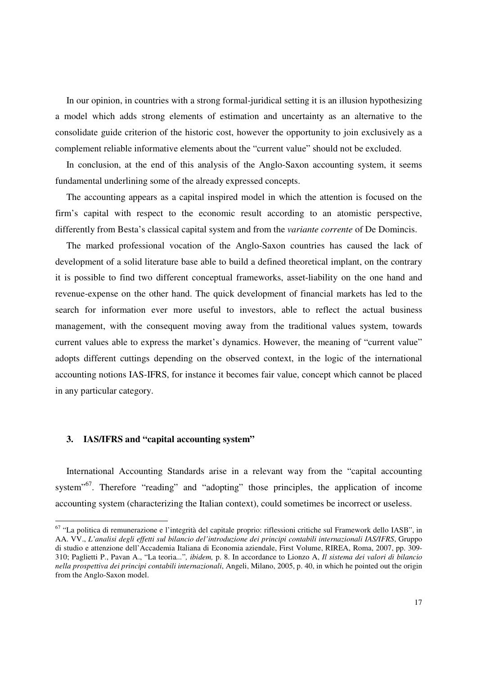In our opinion, in countries with a strong formal-juridical setting it is an illusion hypothesizing a model which adds strong elements of estimation and uncertainty as an alternative to the consolidate guide criterion of the historic cost, however the opportunity to join exclusively as a complement reliable informative elements about the "current value" should not be excluded.

In conclusion, at the end of this analysis of the Anglo-Saxon accounting system, it seems fundamental underlining some of the already expressed concepts.

The accounting appears as a capital inspired model in which the attention is focused on the firm's capital with respect to the economic result according to an atomistic perspective, differently from Besta's classical capital system and from the *variante corrente* of De Domincis.

The marked professional vocation of the Anglo-Saxon countries has caused the lack of development of a solid literature base able to build a defined theoretical implant, on the contrary it is possible to find two different conceptual frameworks, asset-liability on the one hand and revenue-expense on the other hand. The quick development of financial markets has led to the search for information ever more useful to investors, able to reflect the actual business management, with the consequent moving away from the traditional values system, towards current values able to express the market's dynamics. However, the meaning of "current value" adopts different cuttings depending on the observed context, in the logic of the international accounting notions IAS-IFRS, for instance it becomes fair value, concept which cannot be placed in any particular category.

#### **3. IAS/IFRS and "capital accounting system"**

 $\overline{a}$ 

International Accounting Standards arise in a relevant way from the "capital accounting system<sup>"67</sup>. Therefore "reading" and "adopting" those principles, the application of income accounting system (characterizing the Italian context), could sometimes be incorrect or useless.

<sup>&</sup>lt;sup>67</sup> "La politica di remunerazione e l'integrità del capitale proprio: riflessioni critiche sul Framework dello IASB", in AA. VV., *L'analisi degli effetti sul bilancio del'introduzione dei principi contabili internazionali IAS/IFRS*, Gruppo di studio e attenzione dell'Accademia Italiana di Economia aziendale, First Volume, RIREA, Roma, 2007, pp. 309- 310; Paglietti P., Pavan A., "La teoria*...*"*, ibidem,* p. 8. In accordance to Lionzo A, *Il sistema dei valori di bilancio nella prospettiva dei principi contabili internazionali*, Angeli, Milano, 2005, p. 40, in which he pointed out the origin from the Anglo-Saxon model.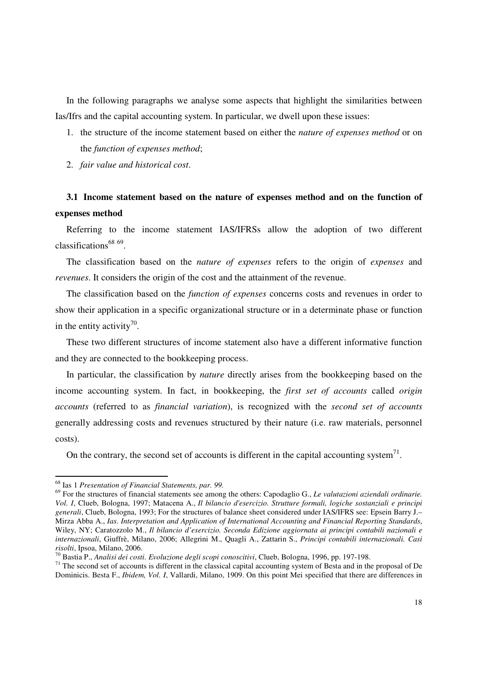In the following paragraphs we analyse some aspects that highlight the similarities between Ias/Ifrs and the capital accounting system. In particular, we dwell upon these issues:

- 1. the structure of the income statement based on either the *nature of expenses method* or on the *function of expenses method*;
- 2. *fair value and historical cost*.

# **3.1 Income statement based on the nature of expenses method and on the function of expenses method**

Referring to the income statement IAS/IFRSs allow the adoption of two different classifications<sup>68</sup> <sup>69</sup>.

The classification based on the *nature of expenses* refers to the origin of *expenses* and *revenues*. It considers the origin of the cost and the attainment of the revenue.

The classification based on the *function of expenses* concerns costs and revenues in order to show their application in a specific organizational structure or in a determinate phase or function in the entity activity<sup>70</sup>.

These two different structures of income statement also have a different informative function and they are connected to the bookkeeping process.

In particular, the classification by *nature* directly arises from the bookkeeping based on the income accounting system. In fact, in bookkeeping, the *first set of accounts* called *origin accounts* (referred to as *financial variation*), is recognized with the *second set of accounts*  generally addressing costs and revenues structured by their nature (i.e. raw materials, personnel costs).

On the contrary, the second set of accounts is different in the capital accounting system<sup>71</sup>.

<sup>-</sup>

<sup>68</sup> Ias 1 *Presentation of Financial Statements, par. 99.*

<sup>69</sup> For the structures of financial statements see among the others: Capodaglio G., *Le valutazioni aziendali ordinarie. Vol. I*, Clueb, Bologna, 1997; Matacena A., *Il bilancio d'esercizio. Strutture formali, logiche sostanziali e principi generali*, Clueb, Bologna, 1993; For the structures of balance sheet considered under IAS/IFRS see: Epsein Barry J.– Mirza Abba A., *Ias. Interpretation and Application of International Accounting and Financial Reporting Standards*, Wiley, NY; Caratozzolo M., *Il bilancio d'esercizio. Seconda Edizione aggiornata ai principi contabili nazionali e internazionali*, Giuffrè, Milano, 2006; Allegrini M., Quagli A., Zattarin S., *Principi contabili internazionali. Casi risolti*, Ipsoa, Milano, 2006.

<sup>70</sup> Bastia P., *Analisi dei costi. Evoluzione degli scopi conoscitivi*, Clueb, Bologna, 1996, pp. 197-198.

<sup>&</sup>lt;sup>71</sup> The second set of accounts is different in the classical capital accounting system of Besta and in the proposal of De Dominicis. Besta F., *Ibidem, Vol. I*, Vallardi, Milano, 1909. On this point Mei specified that there are differences in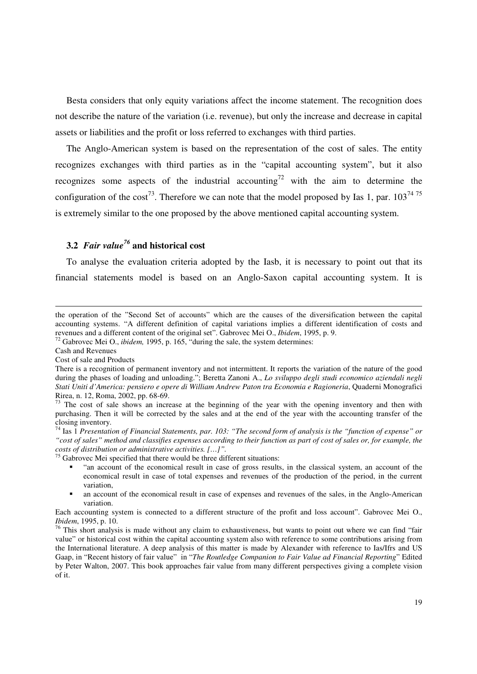Besta considers that only equity variations affect the income statement. The recognition does not describe the nature of the variation (i.e. revenue), but only the increase and decrease in capital assets or liabilities and the profit or loss referred to exchanges with third parties.

The Anglo-American system is based on the representation of the cost of sales. The entity recognizes exchanges with third parties as in the "capital accounting system", but it also recognizes some aspects of the industrial accounting<sup>72</sup> with the aim to determine the configuration of the cost<sup>73</sup>. Therefore we can note that the model proposed by Ias 1, par.  $103^{74}$ <sup>75</sup> is extremely similar to the one proposed by the above mentioned capital accounting system.

# **3.2** *Fair value<sup>76</sup>* **and historical cost**

To analyse the evaluation criteria adopted by the Iasb, it is necessary to point out that its financial statements model is based on an Anglo-Saxon capital accounting system. It is

Cash and Revenues

 $\overline{a}$ 

Cost of sale and Products

 $75$  Gabrovec Mei specified that there would be three different situations:

- "an account of the economical result in case of gross results, in the classical system, an account of the economical result in case of total expenses and revenues of the production of the period, in the current variation,
- an account of the economical result in case of expenses and revenues of the sales, in the Anglo-American variation.

the operation of the "Second Set of accounts" which are the causes of the diversification between the capital accounting systems. "A different definition of capital variations implies a different identification of costs and revenues and a different content of the original set". Gabrovec Mei O., *Ibidem*, 1995, p. 9.

<sup>72</sup> Gabrovec Mei O., *ibidem,* 1995, p. 165, "during the sale, the system determines:

There is a recognition of permanent inventory and not intermittent. It reports the variation of the nature of the good during the phases of loading and unloading."; Beretta Zanoni A., *Lo sviluppo degli studi economico aziendali negli Stati Uniti d'America: pensiero e opere di William Andrew Paton tra Economia e Ragioneria*, Quaderni Monografici Rirea, n. 12, Roma, 2002, pp. 68-69.

 $73$  The cost of sale shows an increase at the beginning of the year with the opening inventory and then with purchasing. Then it will be corrected by the sales and at the end of the year with the accounting transfer of the closing inventory.

<sup>74</sup> Ias 1 *Presentation of Financial Statements, par. 103: "The second form of analysis is the "function of expense" or "cost of sales" method and classifies expenses according to their function as part of cost of sales or, for example, the costs of distribution or administrative activities. […]".* 

Each accounting system is connected to a different structure of the profit and loss account". Gabrovec Mei O., *Ibidem*, 1995, p. 10.

 $\frac{76}{10}$  This short analysis is made without any claim to exhaustiveness, but wants to point out where we can find "fair value" or historical cost within the capital accounting system also with reference to some contributions arising from the International literature. A deep analysis of this matter is made by Alexander with reference to Ias/Ifrs and US Gaap, in "Recent history of fair value" in "*The Routledge Companion to Fair Value ad Financial Reporting*" Edited by Peter Walton, 2007. This book approaches fair value from many different perspectives giving a complete vision of it.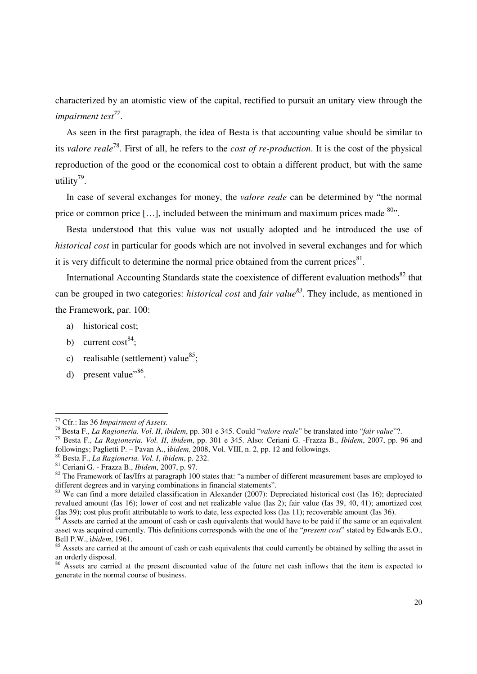characterized by an atomistic view of the capital, rectified to pursuit an unitary view through the *impairment test<sup>77</sup>* .

As seen in the first paragraph, the idea of Besta is that accounting value should be similar to its *valore reale*<sup>78</sup>. First of all, he refers to the *cost of re-production*. It is the cost of the physical reproduction of the good or the economical cost to obtain a different product, but with the same utility<sup>79</sup>.

In case of several exchanges for money, the *valore reale* can be determined by "the normal price or common price [...], included between the minimum and maximum prices made  $80$ .

Besta understood that this value was not usually adopted and he introduced the use of *historical cost* in particular for goods which are not involved in several exchanges and for which it is very difficult to determine the normal price obtained from the current prices $^{81}$ .

International Accounting Standards state the coexistence of different evaluation methods<sup>82</sup> that can be grouped in two categories: *historical cost* and *fair value<sup>83</sup>*. They include, as mentioned in the Framework, par. 100:

- a) historical cost;
- b) current  $cost^{84}$ ;
- c) realisable (settlement) value $^{85}$ ;
- d) present value"<sup>86</sup>.

<sup>-</sup>

<sup>77</sup> Cfr.: Ias 36 *Impairment of Assets.* 

<sup>78</sup> Besta F., *La Ragioneria. Vol. II*, *ibidem*, pp. 301 e 345. Could "*valore reale*" be translated into "*fair value*"?.

<sup>79</sup> Besta F., *La Ragioneria. Vol. II*, *ibidem*, pp. 301 e 345. Also: Ceriani G. -Frazza B., *Ibidem*, 2007, pp. 96 and followings; Paglietti P. – Pavan A., i*bidem,* 2008, Vol. VIII, n. 2, pp. 12 and followings.

<sup>80</sup> Besta F., *La Ragioneria. Vol. I*, *ibidem*, p. 232.

<sup>81</sup> Ceriani G. - Frazza B., *Ibidem*, 2007, p. 97.

<sup>&</sup>lt;sup>82</sup> The Framework of Ias/Ifrs at paragraph 100 states that: "a number of different measurement bases are employed to different degrees and in varying combinations in financial statements".

<sup>&</sup>lt;sup>83</sup> We can find a more detailed classification in Alexander (2007): Depreciated historical cost (Ias 16); depreciated revalued amount (Ias 16); lower of cost and net realizable value (Ias 2); fair value (Ias 39, 40, 41); amortized cost (Ias 39); cost plus profit attributable to work to date, less expected loss (Ias 11); recoverable amount (Ias 36).

Assets are carried at the amount of cash or cash equivalents that would have to be paid if the same or an equivalent asset was acquired currently. This definitions corresponds with the one of the "*present cost*" stated by Edwards E.O., Bell P.W., i*bidem*, 1961.

<sup>&</sup>lt;sup>85</sup> Assets are carried at the amount of cash or cash equivalents that could currently be obtained by selling the asset in an orderly disposal.

<sup>&</sup>lt;sup>86</sup> Assets are carried at the present discounted value of the future net cash inflows that the item is expected to generate in the normal course of business.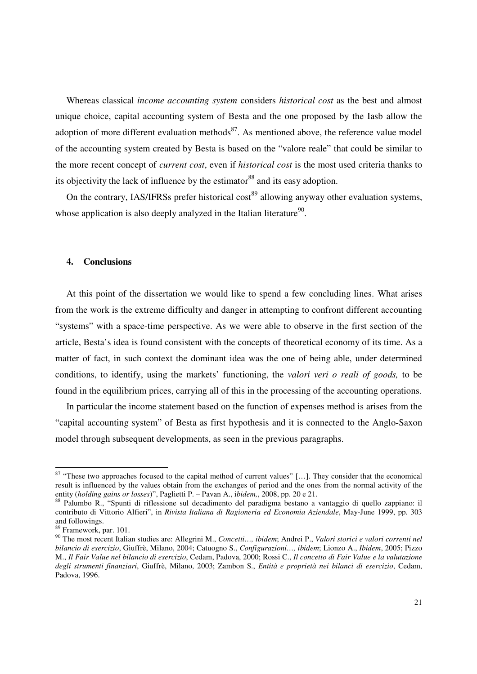Whereas classical *income accounting system* considers *historical cost* as the best and almost unique choice, capital accounting system of Besta and the one proposed by the Iasb allow the adoption of more different evaluation methods $^{87}$ . As mentioned above, the reference value model of the accounting system created by Besta is based on the "valore reale" that could be similar to the more recent concept of *current cost*, even if *historical cost* is the most used criteria thanks to its objectivity the lack of influence by the estimator<sup>88</sup> and its easy adoption.

On the contrary, IAS/IFRSs prefer historical cost<sup>89</sup> allowing anyway other evaluation systems, whose application is also deeply analyzed in the Italian literature $90$ .

#### **4. Conclusions**

At this point of the dissertation we would like to spend a few concluding lines. What arises from the work is the extreme difficulty and danger in attempting to confront different accounting "systems" with a space-time perspective. As we were able to observe in the first section of the article, Besta's idea is found consistent with the concepts of theoretical economy of its time. As a matter of fact, in such context the dominant idea was the one of being able, under determined conditions, to identify, using the markets' functioning, the *valori veri o reali of goods,* to be found in the equilibrium prices, carrying all of this in the processing of the accounting operations.

In particular the income statement based on the function of expenses method is arises from the "capital accounting system" of Besta as first hypothesis and it is connected to the Anglo-Saxon model through subsequent developments, as seen in the previous paragraphs.

 $87$  "These two approaches focused to the capital method of current values" [...]. They consider that the economical result is influenced by the values obtain from the exchanges of period and the ones from the normal activity of the entity (*holding gains or losses*)", Paglietti P. – Pavan A., i*bidem,*, 2008, pp. 20 e 21.

<sup>88</sup> Palumbo R., "Spunti di riflessione sul decadimento del paradigma bestano a vantaggio di quello zappiano: il contributo di Vittorio Alfieri", in *Rivista Italiana di Ragioneria ed Economia Aziendale*, May-June 1999, pp. 303 and followings.

<sup>89</sup> Framework, par. 101.

<sup>90</sup> The most recent Italian studies are: Allegrini M., *Concetti…, ibidem*; Andrei P., *Valori storici e valori correnti nel bilancio di esercizio*, Giuffrè, Milano, 2004; Catuogno S., *Configurazioni…, ibidem*; Lionzo A., *Ibidem*, 2005; Pizzo M., *Il Fair Value nel bilancio di esercizio*, Cedam, Padova, 2000; Rossi C., *Il concetto di Fair Value e la valutazione degli strumenti finanziari*, Giuffrè, Milano, 2003; Zambon S., *Entità e proprietà nei bilanci di esercizio*, Cedam, Padova, 1996.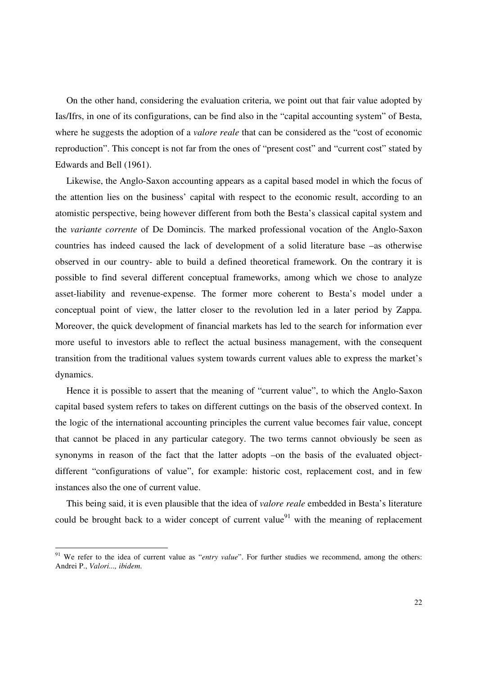On the other hand, considering the evaluation criteria, we point out that fair value adopted by Ias/Ifrs, in one of its configurations, can be find also in the "capital accounting system" of Besta, where he suggests the adoption of a *valore reale* that can be considered as the "cost of economic reproduction". This concept is not far from the ones of "present cost" and "current cost" stated by Edwards and Bell (1961).

Likewise, the Anglo-Saxon accounting appears as a capital based model in which the focus of the attention lies on the business' capital with respect to the economic result, according to an atomistic perspective, being however different from both the Besta's classical capital system and the *variante corrente* of De Domincis. The marked professional vocation of the Anglo-Saxon countries has indeed caused the lack of development of a solid literature base –as otherwise observed in our country- able to build a defined theoretical framework. On the contrary it is possible to find several different conceptual frameworks, among which we chose to analyze asset-liability and revenue-expense. The former more coherent to Besta's model under a conceptual point of view, the latter closer to the revolution led in a later period by Zappa. Moreover, the quick development of financial markets has led to the search for information ever more useful to investors able to reflect the actual business management, with the consequent transition from the traditional values system towards current values able to express the market's dynamics.

Hence it is possible to assert that the meaning of "current value", to which the Anglo-Saxon capital based system refers to takes on different cuttings on the basis of the observed context. In the logic of the international accounting principles the current value becomes fair value, concept that cannot be placed in any particular category. The two terms cannot obviously be seen as synonyms in reason of the fact that the latter adopts –on the basis of the evaluated objectdifferent "configurations of value", for example: historic cost, replacement cost, and in few instances also the one of current value.

This being said, it is even plausible that the idea of *valore reale* embedded in Besta's literature could be brought back to a wider concept of current value<sup>91</sup> with the meaning of replacement

<sup>&</sup>lt;sup>91</sup> We refer to the idea of current value as "*entry value*". For further studies we recommend, among the others: Andrei P., *Valori..., ibidem*.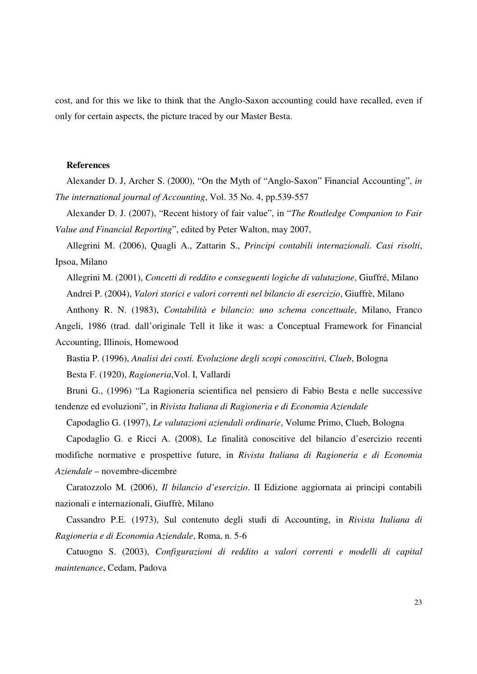cost, and for this we like to think that the Anglo-Saxon accounting could have recalled, even if only for certain aspects, the picture traced by our Master Besta.

#### **References**

Alexander D. J, Archer S. (2000), "On the Myth of "Anglo-Saxon" Financial Accounting", *in The international journal of Accounting*, Vol. 35 No. 4, pp.539-557

Alexander D. J. (2007), "Recent history of fair value", in "*The Routledge Companion to Fair Value and Financial Reporting*", edited by Peter Walton, may 2007,

Allegrini M. (2006), Quagli A., Zattarin S., *Principi contabili internazionali. Casi risolti*, Ipsoa, Milano

Allegrini M. (2001), *Concetti di reddito e conseguenti logiche di valutazione*, Giuffré, Milano Andrei P. (2004), *Valori storici e valori correnti nel bilancio di esercizio*, Giuffrè, Milano

Anthony R. N. (1983), *Contabilità e bilancio: uno schema concettuale*, Milano, Franco

Angeli, 1986 (trad. dall'originale Tell it like it was: a Conceptual Framework for Financial Accounting, Illinois, Homewood

Bastia P. (1996), *Analisi dei costi. Evoluzione degli scopi conoscitivi, Clueb*, Bologna

Besta F. (1920), *Ragioneria*,Vol. I, Vallardi

Bruni G., (1996) "La Ragioneria scientifica nel pensiero di Fabio Besta e nelle successive tendenze ed evoluzioni", in *Rivista Italiana di Ragioneria e di Economia Aziendale*

Capodaglio G. (1997), *Le valutazioni aziendali ordinarie*, Volume Primo, Clueb, Bologna

Capodaglio G. e Ricci A. (2008), Le finalità conoscitive del bilancio d'esercizio recenti modifiche normative e prospettive future, in *Rivista Italiana di Ragioneria e di Economia Aziendale* – novembre-dicembre

Caratozzolo M. (2006), *Il bilancio d'esercizio*. II Edizione aggiornata ai principi contabili nazionali e internazionali, Giuffrè, Milano

Cassandro P.E. (1973), Sul contenuto degli studi di Accounting, in *Rivista Italiana di Ragioneria e di Economia Aziendale*, Roma, n. 5-6

Catuogno S. (2003), *Configurazioni di reddito a valori correnti e modelli di capital maintenance*, Cedam, Padova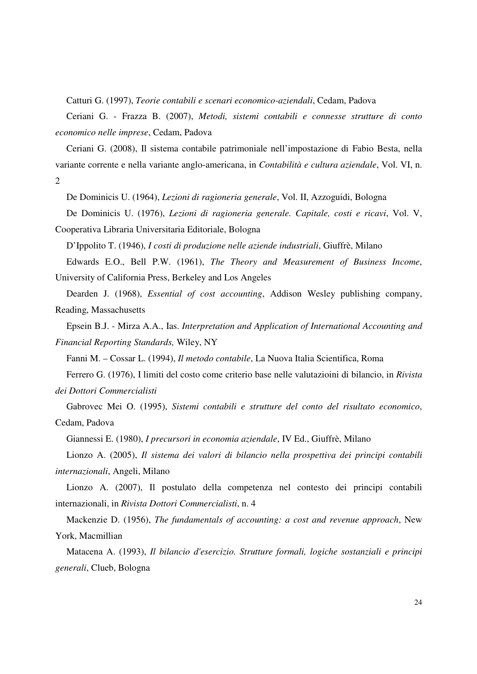Catturi G. (1997), *Teorie contabili e scenari economico-aziendali*, Cedam, Padova

Ceriani G. - Frazza B. (2007), *Metodi, sistemi contabili e connesse strutture di conto economico nelle imprese*, Cedam, Padova

Ceriani G. (2008), Il sistema contabile patrimoniale nell'impostazione di Fabio Besta, nella variante corrente e nella variante anglo-americana, in *Contabilità e cultura aziendale*, Vol. VI, n. 2

De Dominicis U. (1964), *Lezioni di ragioneria generale*, Vol. II, Azzoguidi, Bologna

De Dominicis U. (1976), *Lezioni di ragioneria generale. Capitale, costi e ricavi*, Vol. V,

Cooperativa Libraria Universitaria Editoriale, Bologna

D'Ippolito T. (1946), *I costi di produzione nelle aziende industriali*, Giuffrè, Milano

Edwards E.O., Bell P.W. (1961), *The Theory and Measurement of Business Income*, University of California Press, Berkeley and Los Angeles

Dearden J. (1968), *Essential of cost accounting*, Addison Wesley publishing company, Reading, Massachusetts

Epsein B.J. - Mirza A.A., Ias. *Interpretation and Application of International Accounting and Financial Reporting Standards,* Wiley, NY

Fanni M. – Cossar L. (1994), *Il metodo contabile*, La Nuova Italia Scientifica, Roma

Ferrero G. (1976), I limiti del costo come criterio base nelle valutazioini di bilancio, in *Rivista dei Dottori Commercialisti*

Gabrovec Mei O. (1995), *Sistemi contabili e strutture del conto del risultato economico*, Cedam, Padova

Giannessi E. (1980), *I precursori in economia aziendale*, IV Ed., Giuffrè, Milano

Lionzo A. (2005), *Il sistema dei valori di bilancio nella prospettiva dei principi contabili internazionali*, Angeli, Milano

Lionzo A. (2007), Il postulato della competenza nel contesto dei principi contabili internazionali, in *Rivista Dottori Commercialisti*, n. 4

Mackenzie D. (1956), *The fundamentals of accounting: a cost and revenue approach*, New York, Macmillian

Matacena A. (1993), *Il bilancio d'esercizio. Strutture formali, logiche sostanziali e principi generali*, Clueb, Bologna